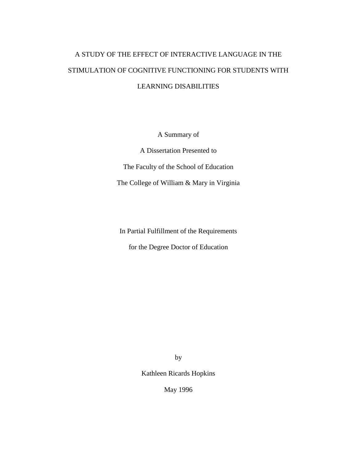# A STUDY OF THE EFFECT OF INTERACTIVE LANGUAGE IN THE STIMULATION OF COGNITIVE FUNCTIONING FOR STUDENTS WITH LEARNING DISABILITIES

A Summary of

A Dissertation Presented to The Faculty of the School of Education The College of William & Mary in Virginia

In Partial Fulfillment of the Requirements

for the Degree Doctor of Education

by

Kathleen Ricards Hopkins

May 1996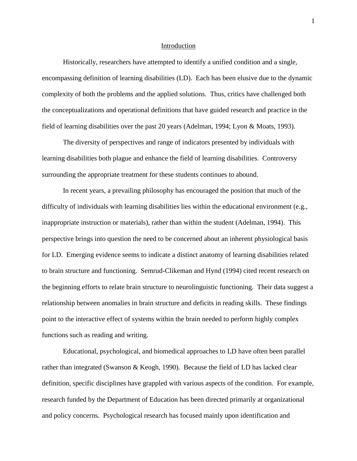#### Introduction

Historically, researchers have attempted to identify a unified condition and a single, encompassing definition of learning disabilities (LD). Each has been elusive due to the dynamic complexity of both the problems and the applied solutions. Thus, critics have challenged both the conceptualizations and operational definitions that have guided research and practice in the field of learning disabilities over the past 20 years (Adelman, 1994; Lyon & Moats, 1993).

The diversity of perspectives and range of indicators presented by individuals with learning disabilities both plague and enhance the field of learning disabilities. Controversy surrounding the appropriate treatment for these students continues to abound.

In recent years, a prevailing philosophy has encouraged the position that much of the difficulty of individuals with learning disabilities lies within the educational environment (e.g., inappropriate instruction or materials), rather than within the student (Adelman, 1994). This perspective brings into question the need to be concerned about an inherent physiological basis for LD. Emerging evidence seems to indicate a distinct anatomy of learning disabilities related to brain structure and functioning. Semrud-Clikeman and Hynd (1994) cited recent research on the beginning efforts to relate brain structure to neurolinguistic functioning. Their data suggest a relationship between anomalies in brain structure and deficits in reading skills. These findings point to the interactive effect of systems within the brain needed to perform highly complex functions such as reading and writing.

Educational, psychological, and biomedical approaches to LD have often been parallel rather than integrated (Swanson & Keogh, 1990). Because the field of LD has lacked clear definition, specific disciplines have grappled with various aspects of the condition. For example, research funded by the Department of Education has been directed primarily at organizational and policy concerns. Psychological research has focused mainly upon identification and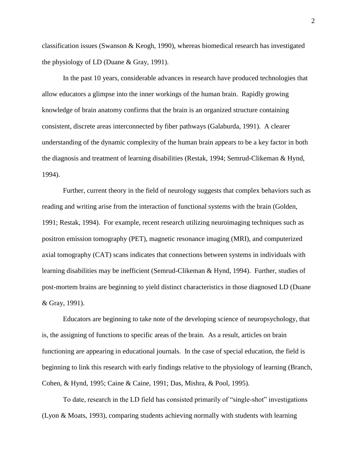classification issues (Swanson & Keogh, 1990), whereas biomedical research has investigated the physiology of LD (Duane & Gray, 1991).

In the past 10 years, considerable advances in research have produced technologies that allow educators a glimpse into the inner workings of the human brain. Rapidly growing knowledge of brain anatomy confirms that the brain is an organized structure containing consistent, discrete areas interconnected by fiber pathways (Galaburda, 1991). A clearer understanding of the dynamic complexity of the human brain appears to be a key factor in both the diagnosis and treatment of learning disabilities (Restak, 1994; Semrud-Clikeman & Hynd, 1994).

Further, current theory in the field of neurology suggests that complex behaviors such as reading and writing arise from the interaction of functional systems with the brain (Golden, 1991; Restak, 1994). For example, recent research utilizing neuroimaging techniques such as positron emission tomography (PET), magnetic resonance imaging (MRI), and computerized axial tomography (CAT) scans indicates that connections between systems in individuals with learning disabilities may be inefficient (Semrud-Clikeman & Hynd, 1994). Further, studies of post-mortem brains are beginning to yield distinct characteristics in those diagnosed LD (Duane & Gray, 1991).

Educators are beginning to take note of the developing science of neuropsychology, that is, the assigning of functions to specific areas of the brain. As a result, articles on brain functioning are appearing in educational journals. In the case of special education, the field is beginning to link this research with early findings relative to the physiology of learning (Branch, Cohen, & Hynd, 1995; Caine & Caine, 1991; Das, Mishra, & Pool, 1995).

To date, research in the LD field has consisted primarily of "single-shot" investigations (Lyon & Moats, 1993), comparing students achieving normally with students with learning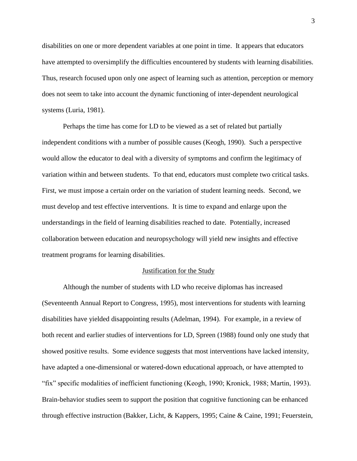disabilities on one or more dependent variables at one point in time. It appears that educators have attempted to oversimplify the difficulties encountered by students with learning disabilities. Thus, research focused upon only one aspect of learning such as attention, perception or memory does not seem to take into account the dynamic functioning of inter-dependent neurological systems (Luria, 1981).

Perhaps the time has come for LD to be viewed as a set of related but partially independent conditions with a number of possible causes (Keogh, 1990). Such a perspective would allow the educator to deal with a diversity of symptoms and confirm the legitimacy of variation within and between students. To that end, educators must complete two critical tasks. First, we must impose a certain order on the variation of student learning needs. Second, we must develop and test effective interventions. It is time to expand and enlarge upon the understandings in the field of learning disabilities reached to date. Potentially, increased collaboration between education and neuropsychology will yield new insights and effective treatment programs for learning disabilities.

## Justification for the Study

Although the number of students with LD who receive diplomas has increased (Seventeenth Annual Report to Congress, 1995), most interventions for students with learning disabilities have yielded disappointing results (Adelman, 1994). For example, in a review of both recent and earlier studies of interventions for LD, Spreen (1988) found only one study that showed positive results. Some evidence suggests that most interventions have lacked intensity, have adapted a one-dimensional or watered-down educational approach, or have attempted to "fix" specific modalities of inefficient functioning (Keogh, 1990; Kronick, 1988; Martin, 1993). Brain-behavior studies seem to support the position that cognitive functioning can be enhanced through effective instruction (Bakker, Licht, & Kappers, 1995; Caine & Caine, 1991; Feuerstein,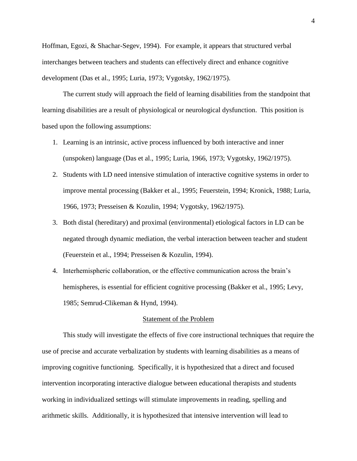Hoffman, Egozi, & Shachar-Segev, 1994). For example, it appears that structured verbal interchanges between teachers and students can effectively direct and enhance cognitive development (Das et al., 1995; Luria, 1973; Vygotsky, 1962/1975).

The current study will approach the field of learning disabilities from the standpoint that learning disabilities are a result of physiological or neurological dysfunction. This position is based upon the following assumptions:

- 1. Learning is an intrinsic, active process influenced by both interactive and inner (unspoken) language (Das et al., 1995; Luria, 1966, 1973; Vygotsky, 1962/1975).
- 2. Students with LD need intensive stimulation of interactive cognitive systems in order to improve mental processing (Bakker et al., 1995; Feuerstein, 1994; Kronick, 1988; Luria, 1966, 1973; Presseisen & Kozulin, 1994; Vygotsky, 1962/1975).
- 3. Both distal (hereditary) and proximal (environmental) etiological factors in LD can be negated through dynamic mediation, the verbal interaction between teacher and student (Feuerstein et al., 1994; Presseisen & Kozulin, 1994).
- 4. Interhemispheric collaboration, or the effective communication across the brain's hemispheres, is essential for efficient cognitive processing (Bakker et al., 1995; Levy, 1985; Semrud-Clikeman & Hynd, 1994).

## Statement of the Problem

This study will investigate the effects of five core instructional techniques that require the use of precise and accurate verbalization by students with learning disabilities as a means of improving cognitive functioning. Specifically, it is hypothesized that a direct and focused intervention incorporating interactive dialogue between educational therapists and students working in individualized settings will stimulate improvements in reading, spelling and arithmetic skills. Additionally, it is hypothesized that intensive intervention will lead to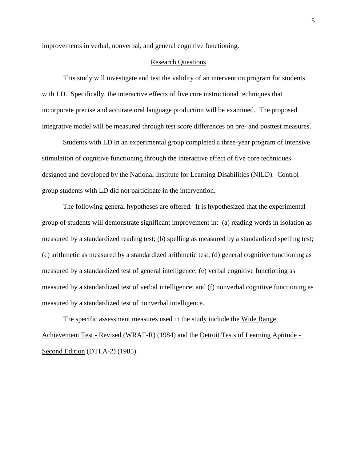improvements in verbal, nonverbal, and general cognitive functioning.

# Research Questions

This study will investigate and test the validity of an intervention program for students with LD. Specifically, the interactive effects of five core instructional techniques that incorporate precise and accurate oral language production will be examined. The proposed integrative model will be measured through test score differences on pre- and posttest measures.

Students with LD in an experimental group completed a three-year program of intensive stimulation of cognitive functioning through the interactive effect of five core techniques designed and developed by the National Institute for Learning Disabilities (NILD). Control group students with LD did not participate in the intervention.

The following general hypotheses are offered. It is hypothesized that the experimental group of students will demonstrate significant improvement in: (a) reading words in isolation as measured by a standardized reading test; (b) spelling as measured by a standardized spelling test; (c) arithmetic as measured by a standardized arithmetic test; (d) general cognitive functioning as measured by a standardized test of general intelligence; (e) verbal cognitive functioning as measured by a standardized test of verbal intelligence; and (f) nonverbal cognitive functioning as measured by a standardized test of nonverbal intelligence.

The specific assessment measures used in the study include the Wide Range Achievement Test - Revised (WRAT-R) (1984) and the Detroit Tests of Learning Aptitude - Second Edition (DTLA-2) (1985).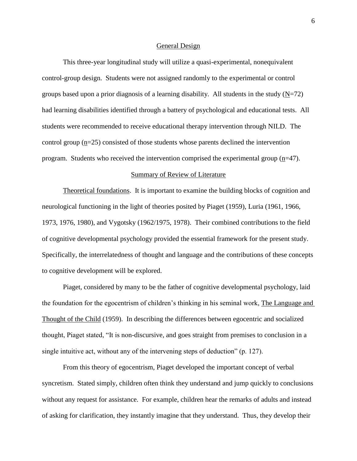#### General Design

This three-year longitudinal study will utilize a quasi-experimental, nonequivalent control-group design. Students were not assigned randomly to the experimental or control groups based upon a prior diagnosis of a learning disability. All students in the study  $(N=72)$ had learning disabilities identified through a battery of psychological and educational tests. All students were recommended to receive educational therapy intervention through NILD. The control group (n=25) consisted of those students whose parents declined the intervention program. Students who received the intervention comprised the experimental group  $(p=47)$ .

## Summary of Review of Literature

Theoretical foundations. It is important to examine the building blocks of cognition and neurological functioning in the light of theories posited by Piaget (1959), Luria (1961, 1966, 1973, 1976, 1980), and Vygotsky (1962/1975, 1978). Their combined contributions to the field of cognitive developmental psychology provided the essential framework for the present study. Specifically, the interrelatedness of thought and language and the contributions of these concepts to cognitive development will be explored.

Piaget, considered by many to be the father of cognitive developmental psychology, laid the foundation for the egocentrism of children's thinking in his seminal work, The Language and Thought of the Child (1959). In describing the differences between egocentric and socialized thought, Piaget stated, "It is non-discursive, and goes straight from premises to conclusion in a single intuitive act, without any of the intervening steps of deduction" (p. 127).

From this theory of egocentrism, Piaget developed the important concept of verbal syncretism. Stated simply, children often think they understand and jump quickly to conclusions without any request for assistance. For example, children hear the remarks of adults and instead of asking for clarification, they instantly imagine that they understand. Thus, they develop their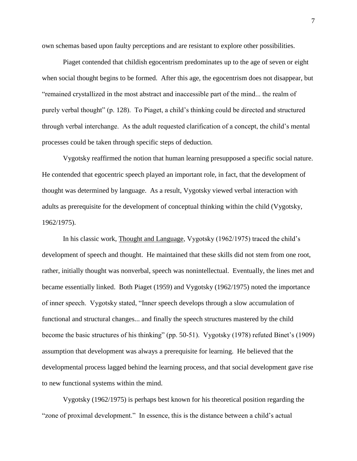own schemas based upon faulty perceptions and are resistant to explore other possibilities.

Piaget contended that childish egocentrism predominates up to the age of seven or eight when social thought begins to be formed. After this age, the egocentrism does not disappear, but "remained crystallized in the most abstract and inaccessible part of the mind... the realm of purely verbal thought" (p. 128). To Piaget, a child's thinking could be directed and structured through verbal interchange. As the adult requested clarification of a concept, the child's mental processes could be taken through specific steps of deduction.

Vygotsky reaffirmed the notion that human learning presupposed a specific social nature. He contended that egocentric speech played an important role, in fact, that the development of thought was determined by language. As a result, Vygotsky viewed verbal interaction with adults as prerequisite for the development of conceptual thinking within the child (Vygotsky, 1962/1975).

In his classic work, Thought and Language, Vygotsky (1962/1975) traced the child's development of speech and thought. He maintained that these skills did not stem from one root, rather, initially thought was nonverbal, speech was nonintellectual. Eventually, the lines met and became essentially linked. Both Piaget (1959) and Vygotsky (1962/1975) noted the importance of inner speech. Vygotsky stated, "Inner speech develops through a slow accumulation of functional and structural changes... and finally the speech structures mastered by the child become the basic structures of his thinking" (pp. 50-51). Vygotsky (1978) refuted Binet's (1909) assumption that development was always a prerequisite for learning. He believed that the developmental process lagged behind the learning process, and that social development gave rise to new functional systems within the mind.

Vygotsky (1962/1975) is perhaps best known for his theoretical position regarding the "zone of proximal development." In essence, this is the distance between a child's actual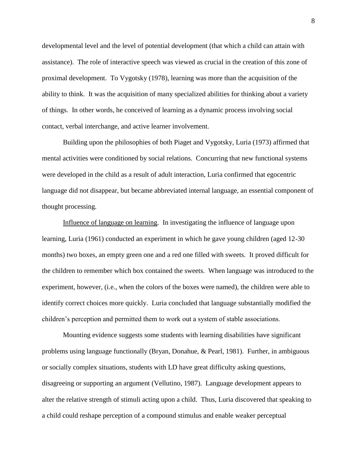developmental level and the level of potential development (that which a child can attain with assistance). The role of interactive speech was viewed as crucial in the creation of this zone of proximal development. To Vygotsky (1978), learning was more than the acquisition of the ability to think. It was the acquisition of many specialized abilities for thinking about a variety of things. In other words, he conceived of learning as a dynamic process involving social contact, verbal interchange, and active learner involvement.

Building upon the philosophies of both Piaget and Vygotsky, Luria (1973) affirmed that mental activities were conditioned by social relations. Concurring that new functional systems were developed in the child as a result of adult interaction, Luria confirmed that egocentric language did not disappear, but became abbreviated internal language, an essential component of thought processing.

Influence of language on learning. In investigating the influence of language upon learning, Luria (1961) conducted an experiment in which he gave young children (aged 12-30 months) two boxes, an empty green one and a red one filled with sweets. It proved difficult for the children to remember which box contained the sweets. When language was introduced to the experiment, however, (i.e., when the colors of the boxes were named), the children were able to identify correct choices more quickly. Luria concluded that language substantially modified the children's perception and permitted them to work out a system of stable associations.

Mounting evidence suggests some students with learning disabilities have significant problems using language functionally (Bryan, Donahue, & Pearl, 1981). Further, in ambiguous or socially complex situations, students with LD have great difficulty asking questions, disagreeing or supporting an argument (Vellutino, 1987). Language development appears to alter the relative strength of stimuli acting upon a child. Thus, Luria discovered that speaking to a child could reshape perception of a compound stimulus and enable weaker perceptual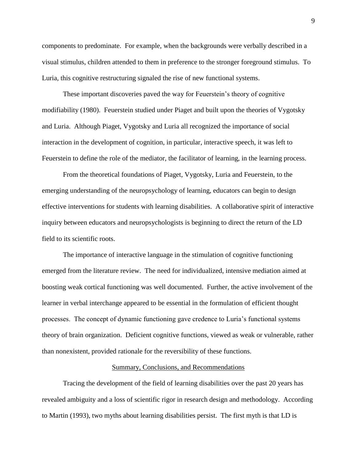components to predominate. For example, when the backgrounds were verbally described in a visual stimulus, children attended to them in preference to the stronger foreground stimulus. To Luria, this cognitive restructuring signaled the rise of new functional systems.

These important discoveries paved the way for Feuerstein's theory of cognitive modifiability (1980). Feuerstein studied under Piaget and built upon the theories of Vygotsky and Luria. Although Piaget, Vygotsky and Luria all recognized the importance of social interaction in the development of cognition, in particular, interactive speech, it was left to Feuerstein to define the role of the mediator, the facilitator of learning, in the learning process.

From the theoretical foundations of Piaget, Vygotsky, Luria and Feuerstein, to the emerging understanding of the neuropsychology of learning, educators can begin to design effective interventions for students with learning disabilities. A collaborative spirit of interactive inquiry between educators and neuropsychologists is beginning to direct the return of the LD field to its scientific roots.

The importance of interactive language in the stimulation of cognitive functioning emerged from the literature review. The need for individualized, intensive mediation aimed at boosting weak cortical functioning was well documented. Further, the active involvement of the learner in verbal interchange appeared to be essential in the formulation of efficient thought processes. The concept of dynamic functioning gave credence to Luria's functional systems theory of brain organization. Deficient cognitive functions, viewed as weak or vulnerable, rather than nonexistent, provided rationale for the reversibility of these functions.

### Summary, Conclusions, and Recommendations

Tracing the development of the field of learning disabilities over the past 20 years has revealed ambiguity and a loss of scientific rigor in research design and methodology. According to Martin (1993), two myths about learning disabilities persist. The first myth is that LD is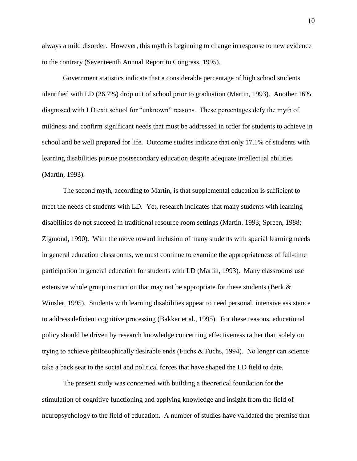always a mild disorder. However, this myth is beginning to change in response to new evidence to the contrary (Seventeenth Annual Report to Congress, 1995).

Government statistics indicate that a considerable percentage of high school students identified with LD (26.7%) drop out of school prior to graduation (Martin, 1993). Another 16% diagnosed with LD exit school for "unknown" reasons. These percentages defy the myth of mildness and confirm significant needs that must be addressed in order for students to achieve in school and be well prepared for life. Outcome studies indicate that only 17.1% of students with learning disabilities pursue postsecondary education despite adequate intellectual abilities (Martin, 1993).

The second myth, according to Martin, is that supplemental education is sufficient to meet the needs of students with LD. Yet, research indicates that many students with learning disabilities do not succeed in traditional resource room settings (Martin, 1993; Spreen, 1988; Zigmond, 1990). With the move toward inclusion of many students with special learning needs in general education classrooms, we must continue to examine the appropriateness of full-time participation in general education for students with LD (Martin, 1993). Many classrooms use extensive whole group instruction that may not be appropriate for these students (Berk & Winsler, 1995). Students with learning disabilities appear to need personal, intensive assistance to address deficient cognitive processing (Bakker et al., 1995). For these reasons, educational policy should be driven by research knowledge concerning effectiveness rather than solely on trying to achieve philosophically desirable ends (Fuchs & Fuchs, 1994). No longer can science take a back seat to the social and political forces that have shaped the LD field to date.

The present study was concerned with building a theoretical foundation for the stimulation of cognitive functioning and applying knowledge and insight from the field of neuropsychology to the field of education. A number of studies have validated the premise that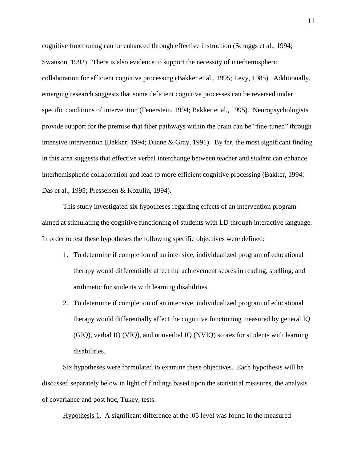cognitive functioning can be enhanced through effective instruction (Scruggs et al., 1994; Swanson, 1993). There is also evidence to support the necessity of interhemispheric collaboration for efficient cognitive processing (Bakker et al., 1995; Levy, 1985). Additionally, emerging research suggests that some deficient cognitive processes can be reversed under specific conditions of intervention (Feuerstein, 1994; Bakker et al., 1995). Neuropsychologists provide support for the premise that fiber pathways within the brain can be "fine-tuned" through intensive intervention (Bakker, 1994; Duane & Gray, 1991). By far, the most significant finding in this area suggests that effective verbal interchange between teacher and student can enhance interhemispheric collaboration and lead to more efficient cognitive processing (Bakker, 1994; Das et al., 1995; Presseisen & Kozulin, 1994).

This study investigated six hypotheses regarding effects of an intervention program aimed at stimulating the cognitive functioning of students with LD through interactive language. In order to test these hypotheses the following specific objectives were defined:

- 1. To determine if completion of an intensive, individualized program of educational therapy would differentially affect the achievement scores in reading, spelling, and arithmetic for students with learning disabilities.
- 2. To determine if completion of an intensive, individualized program of educational therapy would differentially affect the cognitive functioning measured by general IQ (GIQ), verbal IQ (VIQ), and nonverbal IQ (NVIQ) scores for students with learning disabilities.

Six hypotheses were formulated to examine these objectives. Each hypothesis will be discussed separately below in light of findings based upon the statistical measures, the analysis of covariance and post hoc, Tukey, tests.

Hypothesis 1. A significant difference at the .05 level was found in the measured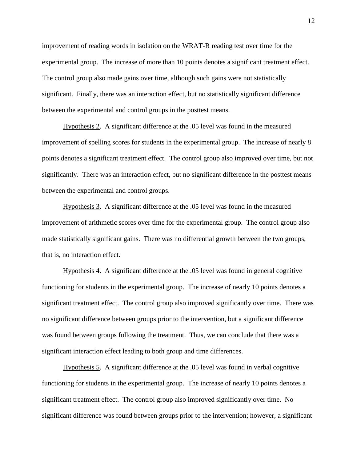improvement of reading words in isolation on the WRAT-R reading test over time for the experimental group. The increase of more than 10 points denotes a significant treatment effect. The control group also made gains over time, although such gains were not statistically significant. Finally, there was an interaction effect, but no statistically significant difference between the experimental and control groups in the posttest means.

Hypothesis 2. A significant difference at the .05 level was found in the measured improvement of spelling scores for students in the experimental group. The increase of nearly 8 points denotes a significant treatment effect. The control group also improved over time, but not significantly. There was an interaction effect, but no significant difference in the posttest means between the experimental and control groups.

Hypothesis 3. A significant difference at the .05 level was found in the measured improvement of arithmetic scores over time for the experimental group. The control group also made statistically significant gains. There was no differential growth between the two groups, that is, no interaction effect.

Hypothesis 4. A significant difference at the .05 level was found in general cognitive functioning for students in the experimental group. The increase of nearly 10 points denotes a significant treatment effect. The control group also improved significantly over time. There was no significant difference between groups prior to the intervention, but a significant difference was found between groups following the treatment. Thus, we can conclude that there was a significant interaction effect leading to both group and time differences.

Hypothesis 5. A significant difference at the .05 level was found in verbal cognitive functioning for students in the experimental group. The increase of nearly 10 points denotes a significant treatment effect. The control group also improved significantly over time. No significant difference was found between groups prior to the intervention; however, a significant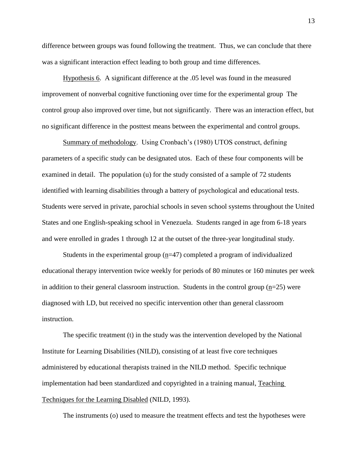difference between groups was found following the treatment. Thus, we can conclude that there was a significant interaction effect leading to both group and time differences.

Hypothesis 6. A significant difference at the .05 level was found in the measured improvement of nonverbal cognitive functioning over time for the experimental group The control group also improved over time, but not significantly. There was an interaction effect, but no significant difference in the posttest means between the experimental and control groups.

Summary of methodology. Using Cronbach's (1980) UTOS construct, defining parameters of a specific study can be designated utos. Each of these four components will be examined in detail. The population (u) for the study consisted of a sample of 72 students identified with learning disabilities through a battery of psychological and educational tests. Students were served in private, parochial schools in seven school systems throughout the United States and one English-speaking school in Venezuela. Students ranged in age from 6-18 years and were enrolled in grades 1 through 12 at the outset of the three-year longitudinal study.

Students in the experimental group  $(n=47)$  completed a program of individualized educational therapy intervention twice weekly for periods of 80 minutes or 160 minutes per week in addition to their general classroom instruction. Students in the control group  $(n=25)$  were diagnosed with LD, but received no specific intervention other than general classroom instruction.

The specific treatment (t) in the study was the intervention developed by the National Institute for Learning Disabilities (NILD), consisting of at least five core techniques administered by educational therapists trained in the NILD method. Specific technique implementation had been standardized and copyrighted in a training manual, Teaching Techniques for the Learning Disabled (NILD, 1993).

The instruments (o) used to measure the treatment effects and test the hypotheses were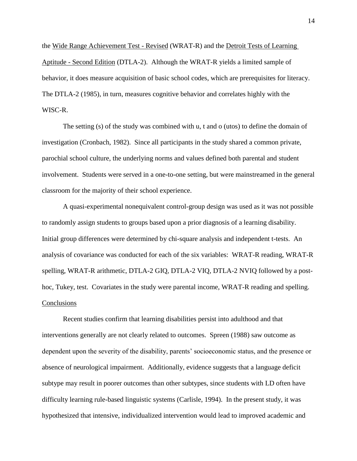the Wide Range Achievement Test - Revised (WRAT-R) and the Detroit Tests of Learning Aptitude - Second Edition (DTLA-2). Although the WRAT-R yields a limited sample of behavior, it does measure acquisition of basic school codes, which are prerequisites for literacy. The DTLA-2 (1985), in turn, measures cognitive behavior and correlates highly with the WISC-R.

The setting (s) of the study was combined with u, t and o (utos) to define the domain of investigation (Cronbach, 1982). Since all participants in the study shared a common private, parochial school culture, the underlying norms and values defined both parental and student involvement. Students were served in a one-to-one setting, but were mainstreamed in the general classroom for the majority of their school experience.

A quasi-experimental nonequivalent control-group design was used as it was not possible to randomly assign students to groups based upon a prior diagnosis of a learning disability. Initial group differences were determined by chi-square analysis and independent t-tests. An analysis of covariance was conducted for each of the six variables: WRAT-R reading, WRAT-R spelling, WRAT-R arithmetic, DTLA-2 GIQ, DTLA-2 VIQ, DTLA-2 NVIQ followed by a posthoc, Tukey, test. Covariates in the study were parental income, WRAT-R reading and spelling. Conclusions

Recent studies confirm that learning disabilities persist into adulthood and that interventions generally are not clearly related to outcomes. Spreen (1988) saw outcome as dependent upon the severity of the disability, parents' socioeconomic status, and the presence or absence of neurological impairment. Additionally, evidence suggests that a language deficit subtype may result in poorer outcomes than other subtypes, since students with LD often have difficulty learning rule-based linguistic systems (Carlisle, 1994). In the present study, it was hypothesized that intensive, individualized intervention would lead to improved academic and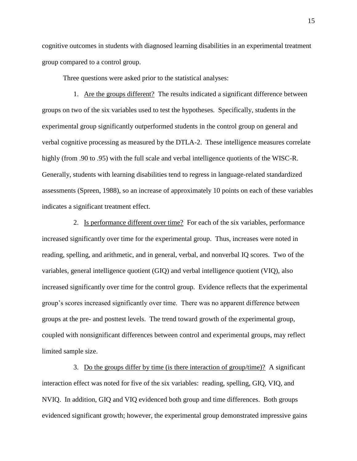cognitive outcomes in students with diagnosed learning disabilities in an experimental treatment group compared to a control group.

Three questions were asked prior to the statistical analyses:

1. Are the groups different? The results indicated a significant difference between groups on two of the six variables used to test the hypotheses. Specifically, students in the experimental group significantly outperformed students in the control group on general and verbal cognitive processing as measured by the DTLA-2. These intelligence measures correlate highly (from .90 to .95) with the full scale and verbal intelligence quotients of the WISC-R. Generally, students with learning disabilities tend to regress in language-related standardized assessments (Spreen, 1988), so an increase of approximately 10 points on each of these variables indicates a significant treatment effect.

2. Is performance different over time? For each of the six variables, performance increased significantly over time for the experimental group. Thus, increases were noted in reading, spelling, and arithmetic, and in general, verbal, and nonverbal IQ scores. Two of the variables, general intelligence quotient (GIQ) and verbal intelligence quotient (VIQ), also increased significantly over time for the control group. Evidence reflects that the experimental group's scores increased significantly over time. There was no apparent difference between groups at the pre- and posttest levels. The trend toward growth of the experimental group, coupled with nonsignificant differences between control and experimental groups, may reflect limited sample size.

3. Do the groups differ by time (is there interaction of group/time)? A significant interaction effect was noted for five of the six variables: reading, spelling, GIQ, VIQ, and NVIQ. In addition, GIQ and VIQ evidenced both group and time differences. Both groups evidenced significant growth; however, the experimental group demonstrated impressive gains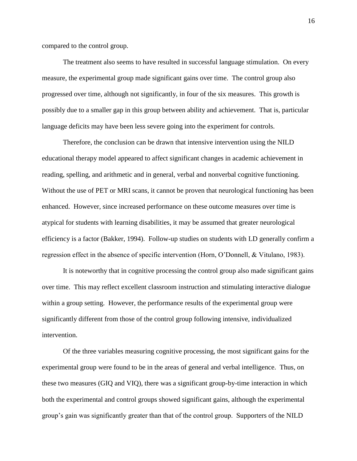compared to the control group.

The treatment also seems to have resulted in successful language stimulation. On every measure, the experimental group made significant gains over time. The control group also progressed over time, although not significantly, in four of the six measures. This growth is possibly due to a smaller gap in this group between ability and achievement. That is, particular language deficits may have been less severe going into the experiment for controls.

Therefore, the conclusion can be drawn that intensive intervention using the NILD educational therapy model appeared to affect significant changes in academic achievement in reading, spelling, and arithmetic and in general, verbal and nonverbal cognitive functioning. Without the use of PET or MRI scans, it cannot be proven that neurological functioning has been enhanced. However, since increased performance on these outcome measures over time is atypical for students with learning disabilities, it may be assumed that greater neurological efficiency is a factor (Bakker, 1994). Follow-up studies on students with LD generally confirm a regression effect in the absence of specific intervention (Horn, O'Donnell, & Vitulano, 1983).

It is noteworthy that in cognitive processing the control group also made significant gains over time. This may reflect excellent classroom instruction and stimulating interactive dialogue within a group setting. However, the performance results of the experimental group were significantly different from those of the control group following intensive, individualized intervention.

Of the three variables measuring cognitive processing, the most significant gains for the experimental group were found to be in the areas of general and verbal intelligence. Thus, on these two measures (GIQ and VIQ), there was a significant group-by-time interaction in which both the experimental and control groups showed significant gains, although the experimental group's gain was significantly greater than that of the control group. Supporters of the NILD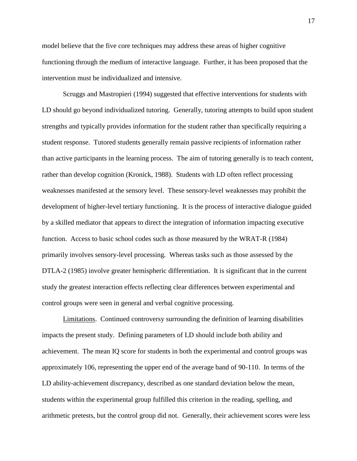model believe that the five core techniques may address these areas of higher cognitive functioning through the medium of interactive language. Further, it has been proposed that the intervention must be individualized and intensive.

Scruggs and Mastropieri (1994) suggested that effective interventions for students with LD should go beyond individualized tutoring. Generally, tutoring attempts to build upon student strengths and typically provides information for the student rather than specifically requiring a student response. Tutored students generally remain passive recipients of information rather than active participants in the learning process. The aim of tutoring generally is to teach content, rather than develop cognition (Kronick, 1988). Students with LD often reflect processing weaknesses manifested at the sensory level. These sensory-level weaknesses may prohibit the development of higher-level tertiary functioning. It is the process of interactive dialogue guided by a skilled mediator that appears to direct the integration of information impacting executive function. Access to basic school codes such as those measured by the WRAT-R (1984) primarily involves sensory-level processing. Whereas tasks such as those assessed by the DTLA-2 (1985) involve greater hemispheric differentiation. It is significant that in the current study the greatest interaction effects reflecting clear differences between experimental and control groups were seen in general and verbal cognitive processing.

Limitations. Continued controversy surrounding the definition of learning disabilities impacts the present study. Defining parameters of LD should include both ability and achievement. The mean IQ score for students in both the experimental and control groups was approximately 106, representing the upper end of the average band of 90-110. In terms of the LD ability-achievement discrepancy, described as one standard deviation below the mean, students within the experimental group fulfilled this criterion in the reading, spelling, and arithmetic pretests, but the control group did not. Generally, their achievement scores were less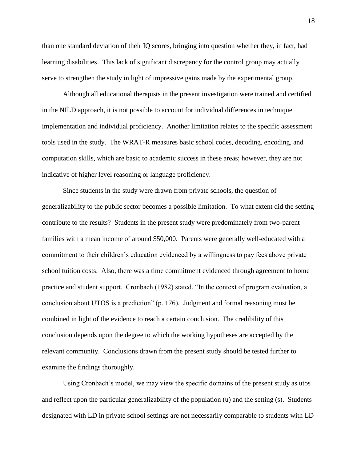than one standard deviation of their IQ scores, bringing into question whether they, in fact, had learning disabilities. This lack of significant discrepancy for the control group may actually serve to strengthen the study in light of impressive gains made by the experimental group.

Although all educational therapists in the present investigation were trained and certified in the NILD approach, it is not possible to account for individual differences in technique implementation and individual proficiency. Another limitation relates to the specific assessment tools used in the study. The WRAT-R measures basic school codes, decoding, encoding, and computation skills, which are basic to academic success in these areas; however, they are not indicative of higher level reasoning or language proficiency.

Since students in the study were drawn from private schools, the question of generalizability to the public sector becomes a possible limitation. To what extent did the setting contribute to the results? Students in the present study were predominately from two-parent families with a mean income of around \$50,000. Parents were generally well-educated with a commitment to their children's education evidenced by a willingness to pay fees above private school tuition costs. Also, there was a time commitment evidenced through agreement to home practice and student support. Cronbach (1982) stated, "In the context of program evaluation, a conclusion about UTOS is a prediction" (p. 176). Judgment and formal reasoning must be combined in light of the evidence to reach a certain conclusion. The credibility of this conclusion depends upon the degree to which the working hypotheses are accepted by the relevant community. Conclusions drawn from the present study should be tested further to examine the findings thoroughly.

Using Cronbach's model, we may view the specific domains of the present study as utos and reflect upon the particular generalizability of the population (u) and the setting (s). Students designated with LD in private school settings are not necessarily comparable to students with LD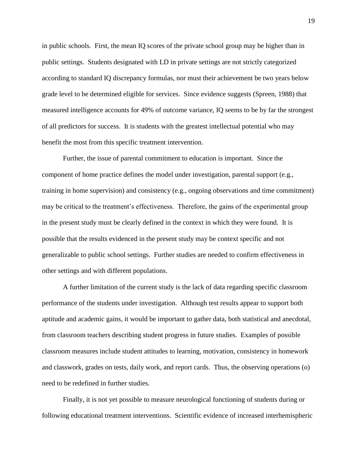in public schools. First, the mean IQ scores of the private school group may be higher than in public settings. Students designated with LD in private settings are not strictly categorized according to standard IQ discrepancy formulas, nor must their achievement be two years below grade level to be determined eligible for services. Since evidence suggests (Spreen, 1988) that measured intelligence accounts for 49% of outcome variance, IQ seems to be by far the strongest of all predictors for success. It is students with the greatest intellectual potential who may benefit the most from this specific treatment intervention.

Further, the issue of parental commitment to education is important. Since the component of home practice defines the model under investigation, parental support (e.g., training in home supervision) and consistency (e.g., ongoing observations and time commitment) may be critical to the treatment's effectiveness. Therefore, the gains of the experimental group in the present study must be clearly defined in the context in which they were found. It is possible that the results evidenced in the present study may be context specific and not generalizable to public school settings. Further studies are needed to confirm effectiveness in other settings and with different populations.

A further limitation of the current study is the lack of data regarding specific classroom performance of the students under investigation. Although test results appear to support both aptitude and academic gains, it would be important to gather data, both statistical and anecdotal, from classroom teachers describing student progress in future studies. Examples of possible classroom measures include student attitudes to learning, motivation, consistency in homework and classwork, grades on tests, daily work, and report cards. Thus, the observing operations (o) need to be redefined in further studies.

Finally, it is not yet possible to measure neurological functioning of students during or following educational treatment interventions. Scientific evidence of increased interhemispheric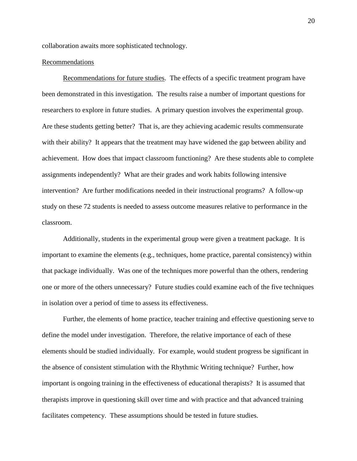collaboration awaits more sophisticated technology.

# Recommendations

Recommendations for future studies. The effects of a specific treatment program have been demonstrated in this investigation. The results raise a number of important questions for researchers to explore in future studies. A primary question involves the experimental group. Are these students getting better? That is, are they achieving academic results commensurate with their ability? It appears that the treatment may have widened the gap between ability and achievement. How does that impact classroom functioning? Are these students able to complete assignments independently? What are their grades and work habits following intensive intervention? Are further modifications needed in their instructional programs? A follow-up study on these 72 students is needed to assess outcome measures relative to performance in the classroom.

Additionally, students in the experimental group were given a treatment package. It is important to examine the elements (e.g., techniques, home practice, parental consistency) within that package individually. Was one of the techniques more powerful than the others, rendering one or more of the others unnecessary? Future studies could examine each of the five techniques in isolation over a period of time to assess its effectiveness.

Further, the elements of home practice, teacher training and effective questioning serve to define the model under investigation. Therefore, the relative importance of each of these elements should be studied individually. For example, would student progress be significant in the absence of consistent stimulation with the Rhythmic Writing technique? Further, how important is ongoing training in the effectiveness of educational therapists? It is assumed that therapists improve in questioning skill over time and with practice and that advanced training facilitates competency. These assumptions should be tested in future studies.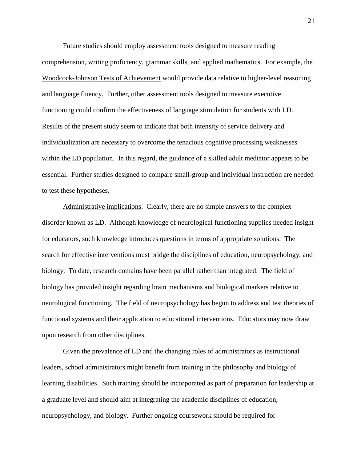Future studies should employ assessment tools designed to measure reading comprehension, writing proficiency, grammar skills, and applied mathematics. For example, the Woodcock-Johnson Tests of Achievement would provide data relative to higher-level reasoning and language fluency. Further, other assessment tools designed to measure executive functioning could confirm the effectiveness of language stimulation for students with LD. Results of the present study seem to indicate that both intensity of service delivery and individualization are necessary to overcome the tenacious cognitive processing weaknesses within the LD population. In this regard, the guidance of a skilled adult mediator appears to be essential. Further studies designed to compare small-group and individual instruction are needed to test these hypotheses.

Administrative implications. Clearly, there are no simple answers to the complex disorder known as LD. Although knowledge of neurological functioning supplies needed insight for educators, such knowledge introduces questions in terms of appropriate solutions. The search for effective interventions must bridge the disciplines of education, neuropsychology, and biology. To date, research domains have been parallel rather than integrated. The field of biology has provided insight regarding brain mechanisms and biological markers relative to neurological functioning. The field of neuropsychology has begun to address and test theories of functional systems and their application to educational interventions. Educators may now draw upon research from other disciplines.

Given the prevalence of LD and the changing roles of administrators as instructional leaders, school administrators might benefit from training in the philosophy and biology of learning disabilities. Such training should be incorporated as part of preparation for leadership at a graduate level and should aim at integrating the academic disciplines of education, neuropsychology, and biology. Further ongoing coursework should be required for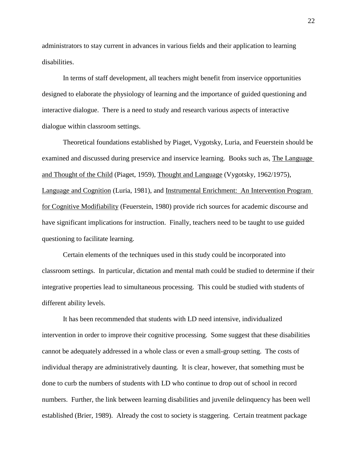administrators to stay current in advances in various fields and their application to learning disabilities.

In terms of staff development, all teachers might benefit from inservice opportunities designed to elaborate the physiology of learning and the importance of guided questioning and interactive dialogue. There is a need to study and research various aspects of interactive dialogue within classroom settings.

Theoretical foundations established by Piaget, Vygotsky, Luria, and Feuerstein should be examined and discussed during preservice and inservice learning. Books such as, The Language and Thought of the Child (Piaget, 1959), Thought and Language (Vygotsky, 1962/1975), Language and Cognition (Luria, 1981), and Instrumental Enrichment: An Intervention Program for Cognitive Modifiability (Feuerstein, 1980) provide rich sources for academic discourse and have significant implications for instruction. Finally, teachers need to be taught to use guided questioning to facilitate learning.

Certain elements of the techniques used in this study could be incorporated into classroom settings. In particular, dictation and mental math could be studied to determine if their integrative properties lead to simultaneous processing. This could be studied with students of different ability levels.

It has been recommended that students with LD need intensive, individualized intervention in order to improve their cognitive processing. Some suggest that these disabilities cannot be adequately addressed in a whole class or even a small-group setting. The costs of individual therapy are administratively daunting. It is clear, however, that something must be done to curb the numbers of students with LD who continue to drop out of school in record numbers. Further, the link between learning disabilities and juvenile delinquency has been well established (Brier, 1989). Already the cost to society is staggering. Certain treatment package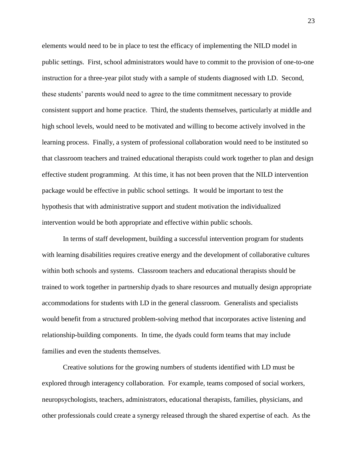elements would need to be in place to test the efficacy of implementing the NILD model in public settings. First, school administrators would have to commit to the provision of one-to-one instruction for a three-year pilot study with a sample of students diagnosed with LD. Second, these students' parents would need to agree to the time commitment necessary to provide consistent support and home practice. Third, the students themselves, particularly at middle and high school levels, would need to be motivated and willing to become actively involved in the learning process. Finally, a system of professional collaboration would need to be instituted so that classroom teachers and trained educational therapists could work together to plan and design effective student programming. At this time, it has not been proven that the NILD intervention package would be effective in public school settings. It would be important to test the hypothesis that with administrative support and student motivation the individualized intervention would be both appropriate and effective within public schools.

In terms of staff development, building a successful intervention program for students with learning disabilities requires creative energy and the development of collaborative cultures within both schools and systems. Classroom teachers and educational therapists should be trained to work together in partnership dyads to share resources and mutually design appropriate accommodations for students with LD in the general classroom. Generalists and specialists would benefit from a structured problem-solving method that incorporates active listening and relationship-building components. In time, the dyads could form teams that may include families and even the students themselves.

Creative solutions for the growing numbers of students identified with LD must be explored through interagency collaboration. For example, teams composed of social workers, neuropsychologists, teachers, administrators, educational therapists, families, physicians, and other professionals could create a synergy released through the shared expertise of each. As the